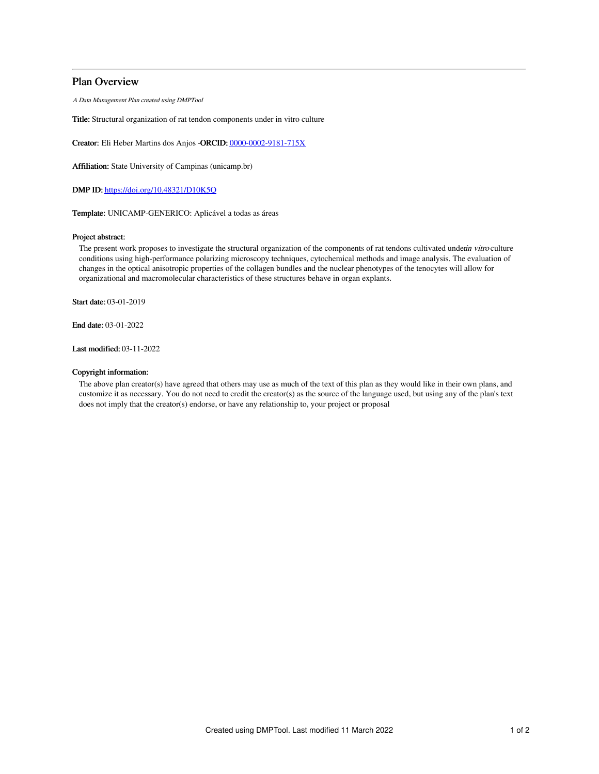# Plan Overview

A Data Management Plan created using DMPTool

Title: Structural organization of rat tendon components under in vitro culture

Creator: Eli Heber Martins dos Anjos -ORCID: [0000-0002-9181-715X](https://orcid.org/0000-0002-9181-715X)

Affiliation: State University of Campinas (unicamp.br)

DMP ID: <https://doi.org/10.48321/D10K5Q>

Template: UNICAMP-GENERICO: Aplicável a todas as áreas

# Project abstract:

The present work proposes to investigate the structural organization of the components of rat tendons cultivated underin vitro culture conditions using high-performance polarizing microscopy techniques, cytochemical methods and image analysis. The evaluation of changes in the optical anisotropic properties of the collagen bundles and the nuclear phenotypes of the tenocytes will allow for organizational and macromolecular characteristics of these structures behave in organ explants.

Start date: 03-01-2019

End date: 03-01-2022

Last modified: 03-11-2022

# Copyright information:

The above plan creator(s) have agreed that others may use as much of the text of this plan as they would like in their own plans, and customize it as necessary. You do not need to credit the creator(s) as the source of the language used, but using any of the plan's text does not imply that the creator(s) endorse, or have any relationship to, your project or proposal